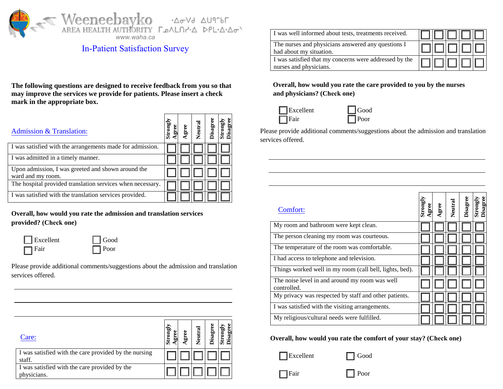

## In-Patient Satisfaction Survey

**The following questions are designed to receive feedback from you so that may improve the services we provide for patients. Please insert a check mark in the appropriate box.** 

| Admission & Translation:                                                |  | Neutral | Disagre | Stron<br>Disag |
|-------------------------------------------------------------------------|--|---------|---------|----------------|
| I was satisfied with the arrangements made for admission.               |  |         |         |                |
| I was admitted in a timely manner.                                      |  |         |         |                |
| Upon admission, I was greeted and shown around the<br>ward and my room. |  |         |         |                |
| The hospital provided translation services when necessary.              |  |         |         |                |
| I was satisfied with the translation services provided.                 |  |         |         |                |

**Overall, how would you rate the admission and translation services provided? (Check one)**

| $\Box$ Excellent | $\Box$ Good |
|------------------|-------------|
| $\Box$ Fair      | $\Box$ Poor |

Please provide additional comments/suggestions about the admission and translation services offered.

| Care:                                                           | ā | g<br>ā, | σ<br>$\mathop{\rm curl}\nolimits$<br>z | isagree | 8<br>trongl<br>Disagro |
|-----------------------------------------------------------------|---|---------|----------------------------------------|---------|------------------------|
| I was satisfied with the care provided by the nursing<br>staff. |   |         |                                        |         |                        |
| I was satisfied with the care provided by the<br>hysicians.     |   |         |                                        |         |                        |

| I was well informed about tests, treatments received.                            |  |  |  |
|----------------------------------------------------------------------------------|--|--|--|
| The nurses and physicians answered any questions I<br>had about my situation.    |  |  |  |
| I was satisfied that my concerns were addressed by the<br>nurses and physicians. |  |  |  |

**Overall, how would you rate the care provided to you by the nurses and physicians? (Check one)**



Please provide additional comments/suggestions about the admission and translation services offered.

| Comfort:                                                      | Strongly | gree | Neutral | <b>Disagree</b> | <b>Strongly</b><br>Disagree |
|---------------------------------------------------------------|----------|------|---------|-----------------|-----------------------------|
| My room and bathroom were kept clean.                         |          |      |         |                 |                             |
| The person cleaning my room was courteous.                    |          |      |         |                 |                             |
| The temperature of the room was comfortable.                  |          |      |         |                 |                             |
| I had access to telephone and television.                     |          |      |         |                 |                             |
| Things worked well in my room (call bell, lights, bed).       |          |      |         |                 |                             |
| The noise level in and around my room was well<br>controlled. |          |      |         |                 |                             |
| My privacy was respected by staff and other patients.         |          |      |         |                 |                             |
| I was satisfied with the visiting arrangements.               |          |      |         |                 |                             |
| My religious/cultural needs were fulfilled.                   |          |      |         |                 |                             |

**Overall, how would you rate the comfort of your stay? (Check one)**

Excellent Good

Fair Poor